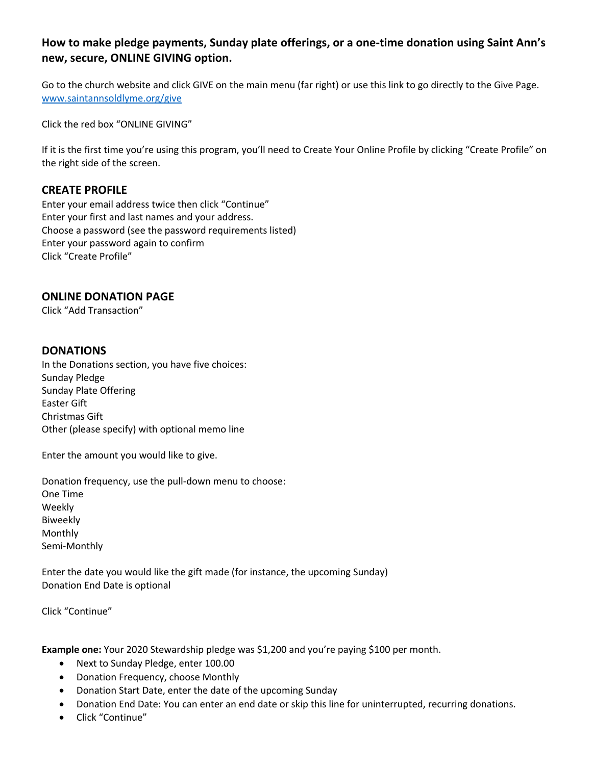# **How to make pledge payments, Sunday plate offerings, or a one-time donation using Saint Ann's new, secure, ONLINE GIVING option.**

Go to the church website and click GIVE on the main menu (far right) or use this link to go directly to the Give Page. www.saintannsoldlyme.org/give

Click the red box "ONLINE GIVING"

If it is the first time you're using this program, you'll need to Create Your Online Profile by clicking "Create Profile" on the right side of the screen.

## **CREATE PROFILE**

Enter your email address twice then click "Continue" Enter your first and last names and your address. Choose a password (see the password requirements listed) Enter your password again to confirm Click "Create Profile"

## **ONLINE DONATION PAGE**

Click "Add Transaction"

## **DONATIONS**

In the Donations section, you have five choices: Sunday Pledge Sunday Plate Offering Easter Gift Christmas Gift Other (please specify) with optional memo line

Enter the amount you would like to give.

Donation frequency, use the pull-down menu to choose: One Time Weekly Biweekly Monthly Semi-Monthly

Enter the date you would like the gift made (for instance, the upcoming Sunday) Donation End Date is optional

Click "Continue"

**Example one:** Your 2020 Stewardship pledge was \$1,200 and you're paying \$100 per month.

- Next to Sunday Pledge, enter 100.00
- Donation Frequency, choose Monthly
- Donation Start Date, enter the date of the upcoming Sunday
- Donation End Date: You can enter an end date or skip this line for uninterrupted, recurring donations.
- Click "Continue"